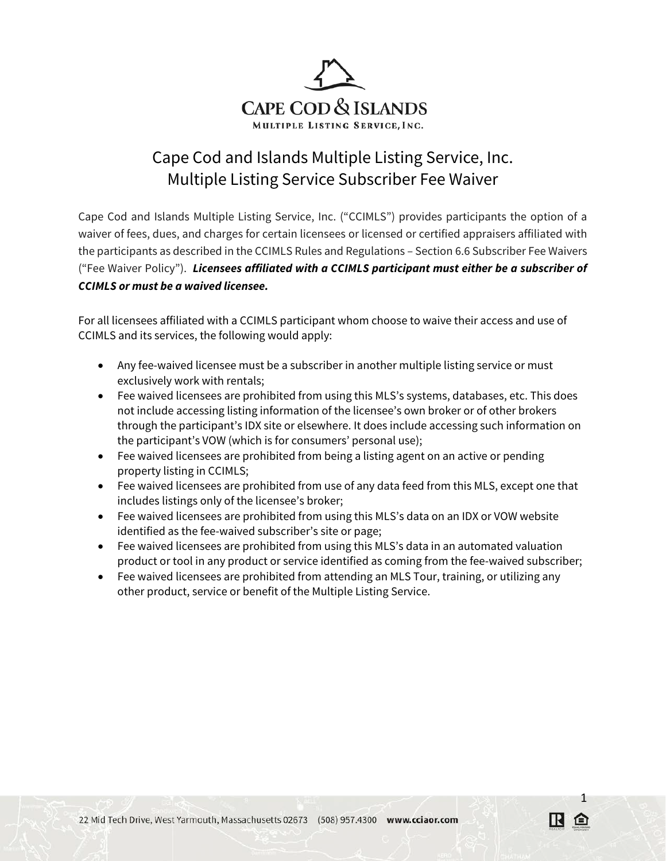

## Cape Cod and Islands Multiple Listing Service, Inc. Multiple Listing Service Subscriber Fee Waiver

Cape Cod and Islands Multiple Listing Service, Inc. ("CCIMLS") provides participants the option of a waiver of fees, dues, and charges for certain licensees or licensed or certified appraisers affiliated with the participants as described in the CCIMLS Rules and Regulations – Section 6.6 Subscriber Fee Waivers ("Fee Waiver Policy"). *Licensees affiliated with a CCIMLS participant must either be a subscriber of CCIMLS or must be a waived licensee.*

For all licensees affiliated with a CCIMLS participant whom choose to waive their access and use of CCIMLS and its services, the following would apply:

- Any fee-waived licensee must be a subscriber in another multiple listing service or must exclusively work with rentals;
- Fee waived licensees are prohibited from using this MLS's systems, databases, etc. This does not include accessing listing information of the licensee's own broker or of other brokers through the participant's IDX site or elsewhere. It does include accessing such information on the participant's VOW (which is for consumers' personal use);
- Fee waived licensees are prohibited from being a listing agent on an active or pending property listing in CCIMLS;
- Fee waived licensees are prohibited from use of any data feed from this MLS, except one that includes listings only of the licensee's broker;
- Fee waived licensees are prohibited from using this MLS's data on an IDX or VOW website identified as the fee-waived subscriber's site or page;
- Fee waived licensees are prohibited from using this MLS's data in an automated valuation product or tool in any product or service identified as coming from the fee-waived subscriber;

1

• Fee waived licensees are prohibited from attending an MLS Tour, training, or utilizing any other product, service or benefit of the Multiple Listing Service.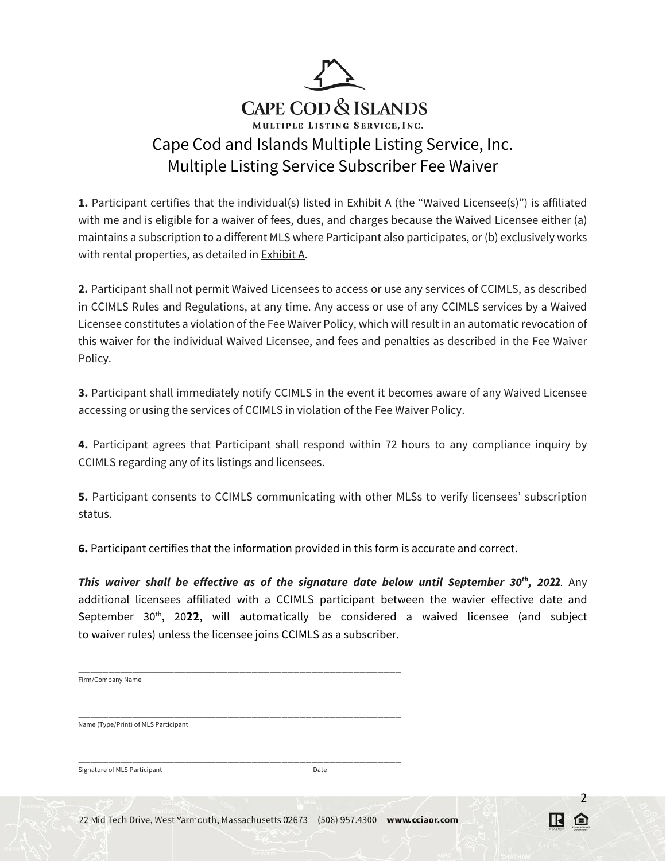

**1.** Participant certifies that the individual(s) listed in **Exhibit A** (the "Waived Licensee(s)") is affiliated with me and is eligible for a waiver of fees, dues, and charges because the Waived Licensee either (a) maintains a subscription to a different MLS where Participant also participates, or (b) exclusively works with rental properties, as detailed in Exhibit A.

**2.** Participant shall not permit Waived Licensees to access or use any services of CCIMLS, as described in CCIMLS Rules and Regulations, at any time. Any access or use of any CCIMLS services by a Waived Licensee constitutes a violation of the Fee Waiver Policy, which will result in an automatic revocation of this waiver for the individual Waived Licensee, and fees and penalties as described in the Fee Waiver Policy.

**3.** Participant shall immediately notify CCIMLS in the event it becomes aware of any Waived Licensee accessing or using the services of CCIMLS in violation of the Fee Waiver Policy.

**4.** Participant agrees that Participant shall respond within 72 hours to any compliance inquiry by CCIMLS regarding any of its listings and licensees.

**5.** Participant consents to CCIMLS communicating with other MLSs to verify licensees' subscription status.

**6.** Participant certifies that the information provided in this form is accurate and correct.

*This waiver shall be effective as of the signature date below until September 30th, 2022*. Any additional licensees affiliated with a CCIMLS participant between the wavier effective date and September 30<sup>th</sup>, 2022, will automatically be considered a waived licensee (and subject to waiver rules) unless the licensee joins CCIMLS as a subscriber.

| Firm/Company Name                    |  |  |
|--------------------------------------|--|--|
|                                      |  |  |
|                                      |  |  |
| Name (Type/Print) of MLS Participant |  |  |

Signature of MLS Participant **Date** Date

\_\_\_\_\_\_\_\_\_\_\_\_\_\_\_\_\_\_\_\_\_\_\_\_\_\_\_\_\_\_\_\_\_\_\_\_\_\_\_\_\_\_\_\_\_\_\_\_\_\_\_\_\_\_

2